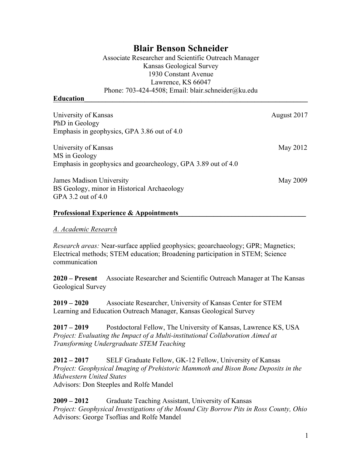## **Blair Benson Schneider**

Associate Researcher and Scientific Outreach Manager Kansas Geological Survey 1930 Constant Avenue Lawrence, KS 66047 Phone: 703-424-4508; Email: blair.schneider@ku.edu

#### **Education\_\_\_\_\_\_\_\_\_\_\_\_\_\_\_\_\_\_\_\_\_\_\_\_\_\_\_\_\_\_\_\_\_\_\_\_\_\_\_\_\_\_\_\_\_\_\_\_\_\_\_\_\_\_\_\_\_\_\_\_\_\_\_**

| University of Kansas<br>PhD in Geology                        | August 2017 |
|---------------------------------------------------------------|-------------|
| Emphasis in geophysics, GPA 3.86 out of 4.0                   |             |
| University of Kansas                                          | May 2012    |
| MS in Geology                                                 |             |
| Emphasis in geophysics and geoarcheology, GPA 3.89 out of 4.0 |             |
| <b>James Madison University</b>                               | May 2009    |
| BS Geology, minor in Historical Archaeology                   |             |
| GPA 3.2 out of $4.0$                                          |             |
|                                                               |             |

#### Professional Experience & Appointments

#### *A. Academic Research*

*Research areas:* Near-surface applied geophysics; geoarchaeology; GPR; Magnetics; Electrical methods; STEM education; Broadening participation in STEM; Science communication

**2020 – Present** Associate Researcher and Scientific Outreach Manager at The Kansas Geological Survey

**2019 – 2020** Associate Researcher, University of Kansas Center for STEM Learning and Education Outreach Manager, Kansas Geological Survey

**2017 – 2019** Postdoctoral Fellow, The University of Kansas, Lawrence KS, USA *Project: Evaluating the Impact of a Multi-institutional Collaboration Aimed at Transforming Undergraduate STEM Teaching*

**2012 – 2017** SELF Graduate Fellow, GK-12 Fellow, University of Kansas *Project: Geophysical Imaging of Prehistoric Mammoth and Bison Bone Deposits in the Midwestern United States* Advisors: Don Steeples and Rolfe Mandel

**2009 – 2012** Graduate Teaching Assistant, University of Kansas *Project: Geophysical Investigations of the Mound City Borrow Pits in Ross County, Ohio* Advisors: George Tsoflias and Rolfe Mandel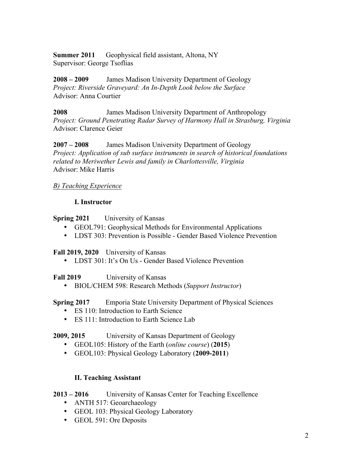**Summer 2011** Geophysical field assistant, Altona, NY Supervisor: George Tsoflias

**2008 – 2009** James Madison University Department of Geology *Project: Riverside Graveyard: An In-Depth Look below the Surface* Advisor: Anna Courtier

**2008** James Madison University Department of Anthropology *Project: Ground Penetrating Radar Survey of Harmony Hall in Strasburg, Virginia* Advisor: Clarence Geier

**2007 – 2008** James Madison University Department of Geology *Project: Application of sub surface instruments in search of historical foundations related to Meriwether Lewis and family in Charlottesville, Virginia* Advisor: Mike Harris

## *B) Teaching Experience*

## **I. Instructor**

**Spring 2021** University of Kansas

- GEOL791: Geophysical Methods for Environmental Applications
- LDST 303: Prevention is Possible Gender Based Violence Prevention

## **Fall 2019, 2020** University of Kansas

• LDST 301: It's On Us - Gender Based Violence Prevention

**Fall 2019** University of Kansas

• BIOL/CHEM 598: Research Methods (*Support Instructor*)

**Spring 2017** Emporia State University Department of Physical Sciences

- ES 110: Introduction to Earth Science
- ES 111: Introduction to Earth Science Lab

## **2009, 2015** University of Kansas Department of Geology

- GEOL105: History of the Earth (*online course*) (**2015**)
- GEOL103: Physical Geology Laboratory (**2009-2011**)

## **II. Teaching Assistant**

- **2013 – 2016** University of Kansas Center for Teaching Excellence
	- ANTH 517: Geoarchaeology
	- GEOL 103: Physical Geology Laboratory
	- GEOL 591: Ore Deposits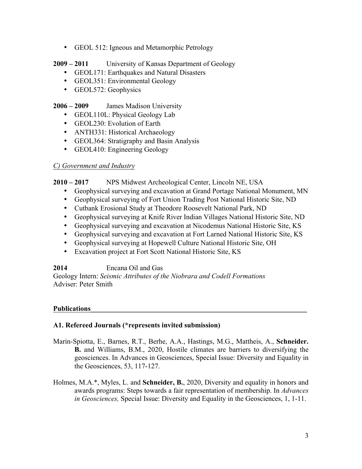- GEOL 512: Igneous and Metamorphic Petrology
- **2009 – 2011** University of Kansas Department of Geology
	- GEOL171: Earthquakes and Natural Disasters
	- GEOL351: Environmental Geology
	- GEOL572: Geophysics

## **2006 – 2009** James Madison University

- GEOL110L: Physical Geology Lab
- GEOL230: Evolution of Earth
- ANTH331: Historical Archaeology
- GEOL364: Stratigraphy and Basin Analysis
- GEOL410: Engineering Geology

## *C) Government and Industry*

## **2010 – 2017** NPS Midwest Archeological Center, Lincoln NE, USA

- Geophysical surveying and excavation at Grand Portage National Monument, MN
- Geophysical surveying of Fort Union Trading Post National Historic Site, ND
- Cutbank Erosional Study at Theodore Roosevelt National Park, ND
- Geophysical surveying at Knife River Indian Villages National Historic Site, ND
- Geophysical surveying and excavation at Nicodemus National Historic Site, KS
- Geophysical surveying and excavation at Fort Larned National Historic Site, KS
- Geophysical surveying at Hopewell Culture National Historic Site, OH
- Excavation project at Fort Scott National Historic Site, KS

## **2014** Encana Oil and Gas

Geology Intern: *Seismic Attributes of the Niobrara and Codell Formations* Adviser: Peter Smith

## **Publications\_\_\_\_\_\_\_\_\_\_\_\_\_\_\_\_\_\_\_\_\_\_\_\_\_\_\_\_\_\_\_\_\_\_\_\_\_\_\_\_\_\_\_\_\_\_\_\_\_\_\_\_\_\_\_\_\_\_\_\_\_**

## **A1. Refereed Journals (\*represents invited submission)**

- Marin-Spiotta, E., Barnes, R.T., Berhe, A.A., Hastings, M.G., Mattheis, A., **Schneider. B.** and Williams, B.M., 2020, Hostile climates are barriers to diversifying the geosciences. In Advances in Geosciences, Special Issue: Diversity and Equality in the Geosciences, 53, 117-127.
- Holmes, M.A.\*, Myles, L. and **Schneider, B.**, 2020, Diversity and equality in honors and awards programs: Steps towards a fair representation of membership. In *Advances in Geosciences,* Special Issue: Diversity and Equality in the Geosciences, 1, 1-11.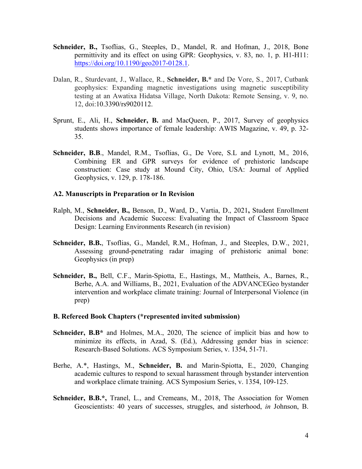- **Schneider, B.,** Tsoflias, G., Steeples, D., Mandel, R. and Hofman, J., 2018, Bone permittivity and its effect on using GPR: Geophysics, v. 83, no. 1, p. H1-H11: https://doi.org/10.1190/geo2017-0128.1.
- Dalan, R., Sturdevant, J., Wallace, R., **Schneider, B.\*** and De Vore, S., 2017, Cutbank geophysics: Expanding magnetic investigations using magnetic susceptibility testing at an Awatixa Hidatsa Village, North Dakota: Remote Sensing, v. 9, no. 12, doi:10.3390/rs9020112.
- Sprunt, E., Ali, H., **Schneider, B.** and MacQueen, P., 2017, Survey of geophysics students shows importance of female leadership: AWIS Magazine, v. 49, p. 32- 35.
- Schneider, B.B., Mandel, R.M., Tsoflias, G., De Vore, S.L and Lynott, M., 2016, Combining ER and GPR surveys for evidence of prehistoric landscape construction: Case study at Mound City, Ohio, USA: Journal of Applied Geophysics, v. 129, p. 178-186.

#### **A2. Manuscripts in Preparation or In Revision**

- Ralph, M., **Schneider, B.,** Benson, D., Ward, D., Vartia, D., 2021**,** Student Enrollment Decisions and Academic Success: Evaluating the Impact of Classroom Space Design: Learning Environments Research (in revision)
- **Schneider, B.B.**, Tsoflias, G., Mandel, R.M., Hofman, J., and Steeples, D.W., 2021, Assessing ground-penetrating radar imaging of prehistoric animal bone: Geophysics (in prep)
- **Schneider, B.,** Bell, C.F., Marin-Spiotta, E., Hastings, M., Mattheis, A., Barnes, R., Berhe, A.A. and Williams, B., 2021, Evaluation of the ADVANCEGeo bystander intervention and workplace climate training: Journal of Interpersonal Violence (in prep)

#### **B. Refereed Book Chapters (\*represented invited submission)**

- **Schneider, B.B\*** and Holmes, M.A., 2020, The science of implicit bias and how to minimize its effects, in Azad, S. (Ed.), Addressing gender bias in science: Research-Based Solutions. ACS Symposium Series, v. 1354, 51-71.
- Berhe, A.\*, Hastings, M., **Schneider, B.** and Marin-Spiotta, E., 2020, Changing academic cultures to respond to sexual harassment through bystander intervention and workplace climate training. ACS Symposium Series, v. 1354, 109-125.
- **Schneider, B.B.\*,** Tranel, L., and Cremeans, M., 2018, The Association for Women Geoscientists: 40 years of successes, struggles, and sisterhood, *in* Johnson, B.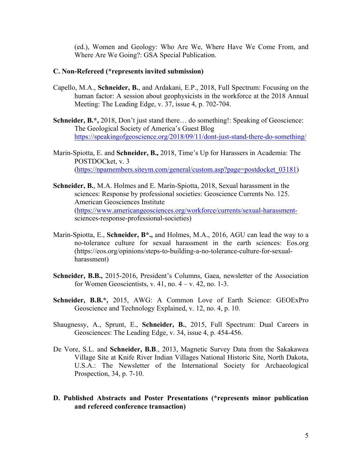(ed.), Women and Geology: Who Are We, Where Have We Come From, and Where Are We Going?: GSA Special Publication.

#### **C. Non-Refereed (\*represents invited submission)**

- Capello, M.A., **Schneider, B.**, and Ardakani, E.P., 2018, Full Spectrum: Focusing on the human factor: A session about geophysicists in the workforce at the 2018 Annual Meeting: The Leading Edge, v. 37, issue 4, p. 702-704.
- **Schneider, B.\*,** 2018, Don't just stand there... do something!: Speaking of Geoscience: The Geological Society of America's Guest Blog https://speakingofgeoscience.org/2018/09/11/dont-just-stand-there-do-something/
- Marin-Spiotta, E. and **Schneider, B.,** 2018, Time's Up for Harassers in Academia: The POSTDOCket, v. 3 (https://npamembers.siteym.com/general/custom.asp?page=postdocket\_03181)
- **Schneider, B.**, M.A. Holmes and E. Marín-Spiotta, 2018, Sexual harassment in the sciences: Response by professional societies: Geoscience Currents No. 125. American Geosciences Institute (https://www.americangeosciences.org/workforce/currents/sexual-harassmentsciences-response-professional-societies)
- Marin-Spiotta, E., **Schneider, B\*.,** and Holmes, M.A., 2016, AGU can lead the way to a no-tolerance culture for sexual harassment in the earth sciences: Eos.org (https://eos.org/opinions/steps-to-building-a-no-tolerance-culture-for-sexualharassment)
- **Schneider, B.B.,** 2015-2016, President's Columns, Gaea, newsletter of the Association for Women Geoscientists, v. 41, no.  $4 - v$ . 42, no. 1-3.
- **Schneider, B.B.\*,** 2015, AWG: A Common Love of Earth Science: GEOExPro Geoscience and Technology Explained, v. 12, no. 4, p. 10.
- Shaugnessy, A., Sprunt, E., **Schneider, B.**, 2015, Full Spectrum: Dual Careers in Geosciences: The Leading Edge, v. 34, issue 4, p. 454-456.
- De Vore, S.L. and **Schneider, B.B**., 2013, Magnetic Survey Data from the Sakakawea Village Site at Knife River Indian Villages National Historic Site, North Dakota, U.S.A.: The Newsletter of the International Society for Archaeological Prospection, 34, p. 7-10.
- **D. Published Abstracts and Poster Presentations (\*represents minor publication and refereed conference transaction)**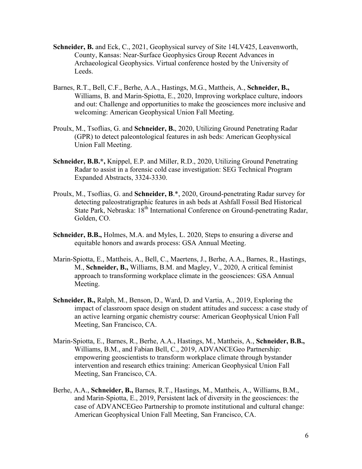- **Schneider, B.** and Eck, C., 2021, Geophysical survey of Site 14LV425, Leavenworth, County, Kansas: Near-Surface Geophysics Group Recent Advances in Archaeological Geophysics. Virtual conference hosted by the University of Leeds.
- Barnes, R.T., Bell, C.F., Berhe, A.A., Hastings, M.G., Mattheis, A., **Schneider, B.,** Williams, B. and Marin-Spiotta, E., 2020, Improving workplace culture, indoors and out: Challenge and opportunities to make the geosciences more inclusive and welcoming: American Geophysical Union Fall Meeting.
- Proulx, M., Tsoflias, G. and **Schneider, B.**, 2020, Utilizing Ground Penetrating Radar (GPR) to detect paleontological features in ash beds: American Geophysical Union Fall Meeting.
- **Schneider, B.B.\*,** Knippel, E.P. and Miller, R.D., 2020, Utilizing Ground Penetrating Radar to assist in a forensic cold case investigation: SEG Technical Program Expanded Abstracts, 3324-3330.
- Proulx, M., Tsoflias, G. and **Schneider, B**.\*, 2020, Ground-penetrating Radar survey for detecting paleostratigraphic features in ash beds at Ashfall Fossil Bed Historical State Park, Nebraska: 18<sup>th</sup> International Conference on Ground-penetrating Radar, Golden, CO.
- **Schneider, B.B.,** Holmes, M.A. and Myles, L. 2020, Steps to ensuring a diverse and equitable honors and awards process: GSA Annual Meeting.
- Marin-Spiotta, E., Mattheis, A., Bell, C., Maertens, J., Berhe, A.A., Barnes, R., Hastings, M., **Schneider, B.,** Williams, B.M. and Magley, V., 2020, A critical feminist approach to transforming workplace climate in the geosciences: GSA Annual Meeting.
- **Schneider, B.,** Ralph, M., Benson, D., Ward, D. and Vartia, A., 2019, Exploring the impact of classroom space design on student attitudes and success: a case study of an active learning organic chemistry course: American Geophysical Union Fall Meeting, San Francisco, CA.
- Marin-Spiotta, E., Barnes, R., Berhe, A.A., Hastings, M., Mattheis, A., **Schneider, B.B.,** Williams, B.M., and Fabian Bell, C., 2019, ADVANCEGeo Partnership: empowering geoscientists to transform workplace climate through bystander intervention and research ethics training: American Geophysical Union Fall Meeting, San Francisco, CA.
- Berhe, A.A., **Schneider, B.,** Barnes, R.T., Hastings, M., Mattheis, A., Williams, B.M., and Marin-Spiotta, E., 2019, Persistent lack of diversity in the geosciences: the case of ADVANCEGeo Partnership to promote institutional and cultural change: American Geophysical Union Fall Meeting, San Francisco, CA.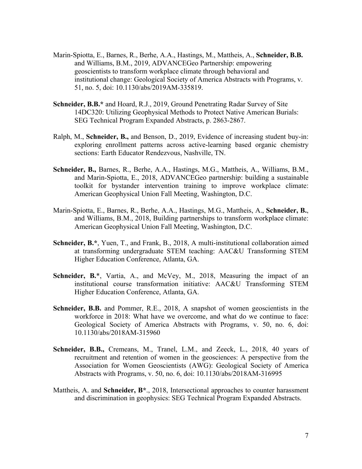- Marin-Spiotta, E., Barnes, R., Berhe, A.A., Hastings, M., Mattheis, A., **Schneider, B.B.** and Williams, B.M., 2019, ADVANCEGeo Partnership: empowering geoscientists to transform workplace climate through behavioral and institutional change: Geological Society of America Abstracts with Programs, v. 51, no. 5, doi: 10.1130/abs/2019AM-335819.
- **Schneider, B.B.\*** and Hoard, R.J., 2019, Ground Penetrating Radar Survey of Site 14DC320: Utilizing Geophysical Methods to Protect Native American Burials: SEG Technical Program Expanded Abstracts, p. 2863-2867.
- Ralph, M., **Schneider, B.,** and Benson, D., 2019, Evidence of increasing student buy-in: exploring enrollment patterns across active-learning based organic chemistry sections: Earth Educator Rendezvous, Nashville, TN.
- **Schneider, B.,** Barnes, R., Berhe, A.A., Hastings, M.G., Mattheis, A., Williams, B.M., and Marin-Spiotta, E., 2018, ADVANCEGeo partnership: building a sustainable toolkit for bystander intervention training to improve workplace climate: American Geophysical Union Fall Meeting, Washington, D.C.
- Marin-Spiotta, E., Barnes, R., Berhe, A.A., Hastings, M.G., Mattheis, A., **Schneider, B.**, and Williams, B.M., 2018, Building partnerships to transform workplace climate: American Geophysical Union Fall Meeting, Washington, D.C.
- **Schneider, B.\***, Yuen, T., and Frank, B., 2018, A multi-institutional collaboration aimed at transforming undergraduate STEM teaching: AAC&U Transforming STEM Higher Education Conference, Atlanta, GA.
- **Schneider, B.\***, Vartia, A., and McVey, M., 2018, Measuring the impact of an institutional course transformation initiative: AAC&U Transforming STEM Higher Education Conference, Atlanta, GA.
- **Schneider, B.B.** and Pommer, R.E., 2018, A snapshot of women geoscientists in the workforce in 2018: What have we overcome, and what do we continue to face: Geological Society of America Abstracts with Programs, v. 50, no. 6, doi: 10.1130/abs/2018AM-315960
- **Schneider, B.B.,** Cremeans, M., Tranel, L.M., and Zeeck, L., 2018, 40 years of recruitment and retention of women in the geosciences: A perspective from the Association for Women Geoscientists (AWG): Geological Society of America Abstracts with Programs, v. 50, no. 6, doi: 10.1130/abs/2018AM-316995
- Mattheis, A. and **Schneider, B\***., 2018, Intersectional approaches to counter harassment and discrimination in geophysics: SEG Technical Program Expanded Abstracts.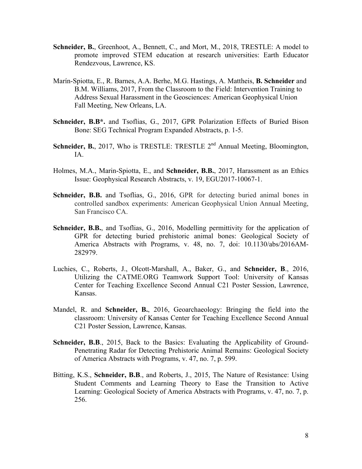- **Schneider, B.**, Greenhoot, A., Bennett, C., and Mort, M., 2018, TRESTLE: A model to promote improved STEM education at research universities: Earth Educator Rendezvous, Lawrence, KS.
- Marín-Spiotta, E., R. Barnes, A.A. Berhe, M.G. Hastings, A. Mattheis, **B. Schneider** and B.M. Williams, 2017, From the Classroom to the Field: Intervention Training to Address Sexual Harassment in the Geosciences: American Geophysical Union Fall Meeting, New Orleans, LA.
- **Schneider, B.B\*.** and Tsoflias, G., 2017, GPR Polarization Effects of Buried Bison Bone: SEG Technical Program Expanded Abstracts, p. 1-5.
- **Schneider, B.**, 2017, Who is TRESTLE: TRESTLE 2<sup>nd</sup> Annual Meeting, Bloomington, IA.
- Holmes, M.A., Marin-Spiotta, E., and **Schneider, B.B.**, 2017, Harassment as an Ethics Issue: Geophysical Research Abstracts, v. 19, EGU2017-10067-1.
- **Schneider, B.B.** and Tsoflias, G., 2016, GPR for detecting buried animal bones in controlled sandbox experiments: American Geophysical Union Annual Meeting, San Francisco CA.
- **Schneider, B.B.**, and Tsoflias, G., 2016, Modelling permittivity for the application of GPR for detecting buried prehistoric animal bones: Geological Society of America Abstracts with Programs, v. 48, no. 7, doi: 10.1130/abs/2016AM-282979.
- Luchies, C., Roberts, J., Olcott-Marshall, A., Baker, G., and **Schneider, B**., 2016, Utilizing the CATME.ORG Teamwork Support Tool: University of Kansas Center for Teaching Excellence Second Annual C21 Poster Session, Lawrence, Kansas.
- Mandel, R. and **Schneider, B.**, 2016, Geoarchaeology: Bringing the field into the classroom: University of Kansas Center for Teaching Excellence Second Annual C21 Poster Session, Lawrence, Kansas.
- **Schneider, B.B**., 2015, Back to the Basics: Evaluating the Applicability of Ground-Penetrating Radar for Detecting Prehistoric Animal Remains: Geological Society of America Abstracts with Programs, v. 47, no. 7, p. 599.
- Bitting, K.S., **Schneider, B.B**., and Roberts, J., 2015, The Nature of Resistance: Using Student Comments and Learning Theory to Ease the Transition to Active Learning: Geological Society of America Abstracts with Programs, v. 47, no. 7, p. 256.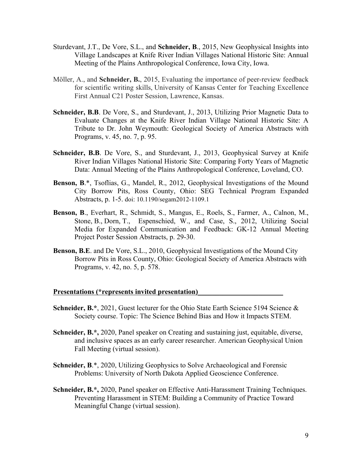- Sturdevant, J.T., De Vore, S.L., and **Schneider, B**., 2015, New Geophysical Insights into Village Landscapes at Knife River Indian Villages National Historic Site: Annual Meeting of the Plains Anthropological Conference, Iowa City, Iowa.
- Möller, A., and **Schneider, B.**, 2015, Evaluating the importance of peer-review feedback for scientific writing skills, University of Kansas Center for Teaching Excellence First Annual C21 Poster Session, Lawrence, Kansas.
- **Schneider, B.B**. De Vore, S., and Sturdevant, J., 2013, Utilizing Prior Magnetic Data to Evaluate Changes at the Knife River Indian Village National Historic Site: A Tribute to Dr. John Weymouth: Geological Society of America Abstracts with Programs, v. 45, no. 7, p. 95.
- Schneider, B.B. De Vore, S., and Sturdevant, J., 2013, Geophysical Survey at Knife River Indian Villages National Historic Site: Comparing Forty Years of Magnetic Data: Annual Meeting of the Plains Anthropological Conference, Loveland, CO.
- **Benson, B**.\*, Tsoflias, G., Mandel, R., 2012, Geophysical Investigations of the Mound City Borrow Pits, Ross County, Ohio: SEG Technical Program Expanded Abstracts, p. 1-5. doi: 10.1190/segam2012-1109.1
- **Benson, B**., Everhart, R., Schmidt, S., Mangus, E., Roels, S., Farmer, A., Calnon, M., Stone, B., Dorn, T., Espenschied, W., and Case, S., 2012, Utilizing Social Media for Expanded Communication and Feedback: GK-12 Annual Meeting Project Poster Session Abstracts, p. 29-30.
- **Benson, B.E**. and De Vore, S.L., 2010, Geophysical Investigations of the Mound City Borrow Pits in Ross County, Ohio: Geological Society of America Abstracts with Programs, v. 42, no. 5, p. 578.

#### **Presentations (\*represents invited presentation)\_\_\_\_\_\_\_\_\_\_\_\_\_\_\_\_\_\_\_\_\_\_\_\_**

- **Schneider, B.\***, 2021, Guest lecturer for the Ohio State Earth Science 5194 Science & Society course. Topic: The Science Behind Bias and How it Impacts STEM.
- **Schneider, B.\*,** 2020, Panel speaker on Creating and sustaining just, equitable, diverse, and inclusive spaces as an early career researcher. American Geophysical Union Fall Meeting (virtual session).
- **Schneider, B.\*, 2020, Utilizing Geophysics to Solve Archaeological and Forensic** Problems: University of North Dakota Applied Geoscience Conference.
- **Schneider, B.\*,** 2020, Panel speaker on Effective Anti-Harassment Training Techniques. Preventing Harassment in STEM: Building a Community of Practice Toward Meaningful Change (virtual session).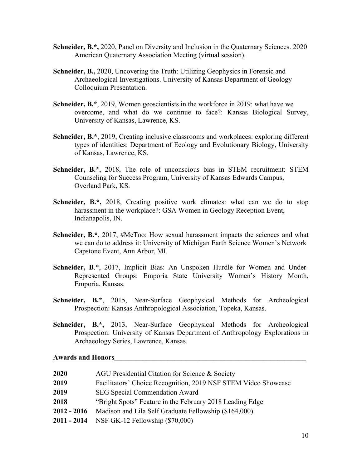- **Schneider, B.\*,** 2020, Panel on Diversity and Inclusion in the Quaternary Sciences. 2020 American Quaternary Association Meeting (virtual session).
- **Schneider, B.,** 2020, Uncovering the Truth: Utilizing Geophysics in Forensic and Archaeological Investigations. University of Kansas Department of Geology Colloquium Presentation.
- **Schneider, B.\***, 2019, Women geoscientists in the workforce in 2019: what have we overcome, and what do we continue to face?: Kansas Biological Survey, University of Kansas, Lawrence, KS.
- **Schneider, B.\***, 2019, Creating inclusive classrooms and workplaces: exploring different types of identities: Department of Ecology and Evolutionary Biology, University of Kansas, Lawrence, KS.
- **Schneider, B.\***, 2018, The role of unconscious bias in STEM recruitment: STEM Counseling for Success Program, University of Kansas Edwards Campus, Overland Park, KS.
- **Schneider, B.\*,** 2018, Creating positive work climates: what can we do to stop harassment in the workplace?: GSA Women in Geology Reception Event, Indianapolis, IN.
- **Schneider, B.\***, 2017, #MeToo: How sexual harassment impacts the sciences and what we can do to address it: University of Michigan Earth Science Women's Network Capstone Event, Ann Arbor, MI.
- **Schneider, B**.\*, 2017, Implicit Bias: An Unspoken Hurdle for Women and Under-Represented Groups: Emporia State University Women's History Month, Emporia, Kansas.
- **Schneider, B.\***, 2015, Near-Surface Geophysical Methods for Archeological Prospection: Kansas Anthropological Association, Topeka, Kansas.
- **Schneider, B.\*,** 2013, Near-Surface Geophysical Methods for Archeological Prospection: University of Kansas Department of Anthropology Explorations in Archaeology Series, Lawrence, Kansas.

#### **Awards and Honors\_\_\_\_\_\_\_\_\_\_\_\_\_\_\_\_\_\_\_\_\_\_\_\_\_\_\_\_\_\_\_\_\_\_\_\_\_\_\_\_\_\_\_\_\_\_\_\_\_\_\_\_\_\_**

| 2020        | AGU Presidential Citation for Science & Society                |
|-------------|----------------------------------------------------------------|
| 2019        | Facilitators' Choice Recognition, 2019 NSF STEM Video Showcase |
| 2019        | <b>SEG Special Commendation Award</b>                          |
| 2018        | "Bright Spots" Feature in the February 2018 Leading Edge       |
| 2012 - 2016 | Madison and Lila Self Graduate Fellowship (\$164,000)          |
|             | <b>2011 - 2014</b> NSF GK-12 Fellowship (\$70,000)             |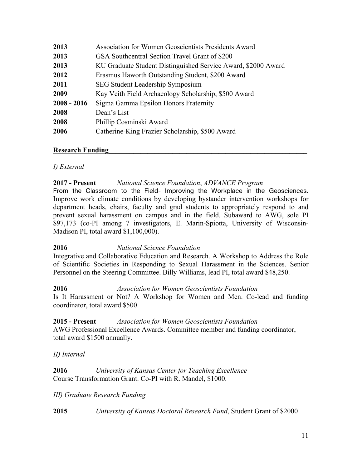| 2013          | Association for Women Geoscientists Presidents Award          |
|---------------|---------------------------------------------------------------|
| 2013          | GSA Southcentral Section Travel Grant of \$200                |
| 2013          | KU Graduate Student Distinguished Service Award, \$2000 Award |
| 2012          | Erasmus Haworth Outstanding Student, \$200 Award              |
| 2011          | <b>SEG Student Leadership Symposium</b>                       |
| 2009          | Kay Veith Field Archaeology Scholarship, \$500 Award          |
| $2008 - 2016$ | Sigma Gamma Epsilon Honors Fraternity                         |
| 2008          | Dean's List                                                   |
| 2008          | Phillip Cosminski Award                                       |
| 2006          | Catherine-King Frazier Scholarship, \$500 Award               |

#### **Research Funding\_\_\_\_\_\_\_\_\_\_\_\_\_\_\_\_\_\_\_\_\_\_\_\_\_\_\_\_\_\_\_\_\_\_\_\_\_\_\_\_\_\_\_\_\_\_\_\_\_\_\_\_\_\_\_\_**

## *I) External*

## **2017 - Present** *National Science Foundation*, *ADVANCE Program*

From the Classroom to the Field- Improving the Workplace in the Geosciences. Improve work climate conditions by developing bystander intervention workshops for department heads, chairs, faculty and grad students to appropriately respond to and prevent sexual harassment on campus and in the field. Subaward to AWG, sole PI \$97,173 (co-PI among 7 investigators, E. Marin-Spiotta, University of Wisconsin-Madison PI, total award \$1,100,000).

## **2016** *National Science Foundation*

Integrative and Collaborative Education and Research. A Workshop to Address the Role of Scientific Societies in Responding to Sexual Harassment in the Sciences. Senior Personnel on the Steering Committee. Billy Williams, lead PI, total award \$48,250.

## **2016** *Association for Women Geoscientists Foundation*

Is It Harassment or Not? A Workshop for Women and Men. Co-lead and funding coordinator, total award \$500.

## **2015 - Present** *Association for Women Geoscientists Foundation*

AWG Professional Excellence Awards. Committee member and funding coordinator, total award \$1500 annually.

## *II) Internal*

**2016** *University of Kansas Center for Teaching Excellence* Course Transformation Grant. Co-PI with R. Mandel, \$1000.

## *III) Graduate Research Funding*

**2015** *University of Kansas Doctoral Research Fund*, Student Grant of \$2000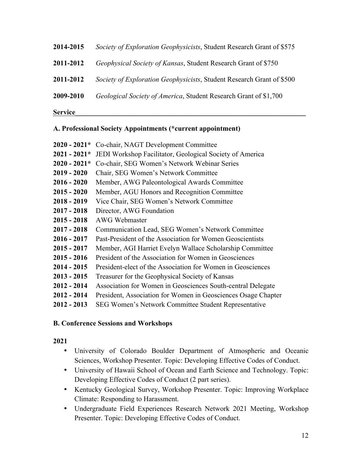# **2014-2015** *Society of Exploration Geophysicists*, Student Research Grant of \$575 **2011-2012** *Geophysical Society of Kansas*, Student Research Grant of \$750 **2011-2012** *Society of Exploration Geophysicists*, Student Research Grant of \$500 **2009-2010** *Geological Society of America*, Student Research Grant of \$1,700

**Service\_\_\_\_\_\_\_\_\_\_\_\_\_\_\_\_\_\_\_\_\_\_\_\_\_\_\_\_\_\_\_\_\_\_\_\_\_\_\_\_\_\_\_\_\_\_\_\_\_\_\_\_\_\_\_\_\_\_\_\_\_\_\_\_\_**

## **A. Professional Society Appointments (\*current appointment)**

| $2020 - 2021*$ | Co-chair, NAGT Development Committee                          |
|----------------|---------------------------------------------------------------|
| $2021 - 2021*$ | JEDI Workshop Facilitator, Geological Society of America      |
| $2020 - 2021*$ | Co-chair, SEG Women's Network Webinar Series                  |
| $2019 - 2020$  | Chair, SEG Women's Network Committee                          |
| $2016 - 2020$  | Member, AWG Paleontological Awards Committee                  |
| $2015 - 2020$  | Member, AGU Honors and Recognition Committee                  |
| $2018 - 2019$  | Vice Chair, SEG Women's Network Committee                     |
| $2017 - 2018$  | Director, AWG Foundation                                      |
| $2015 - 2018$  | <b>AWG Webmaster</b>                                          |
| $2017 - 2018$  | Communication Lead, SEG Women's Network Committee             |
| $2016 - 2017$  | Past-President of the Association for Women Geoscientists     |
| $2015 - 2017$  | Member, AGI Harriet Evelyn Wallace Scholarship Committee      |
| $2015 - 2016$  | President of the Association for Women in Geosciences         |
| $2014 - 2015$  | President-elect of the Association for Women in Geosciences   |
| $2013 - 2015$  | Treasurer for the Geophysical Society of Kansas               |
| $2012 - 2014$  | Association for Women in Geosciences South-central Delegate   |
| $2012 - 2014$  | President, Association for Women in Geosciences Osage Chapter |
| $2012 - 2013$  | SEG Women's Network Committee Student Representative          |

## **B. Conference Sessions and Workshops**

## **2021**

- University of Colorado Boulder Department of Atmospheric and Oceanic Sciences, Workshop Presenter. Topic: Developing Effective Codes of Conduct.
- University of Hawaii School of Ocean and Earth Science and Technology. Topic: Developing Effective Codes of Conduct (2 part series).
- Kentucky Geological Survey, Workshop Presenter. Topic: Improving Workplace Climate: Responding to Harassment.
- Undergraduate Field Experiences Research Network 2021 Meeting, Workshop Presenter. Topic: Developing Effective Codes of Conduct.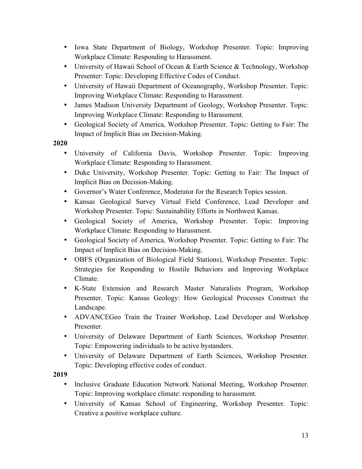- Iowa State Department of Biology, Workshop Presenter. Topic: Improving Workplace Climate: Responding to Harassment.
- University of Hawaii School of Ocean & Earth Science & Technology, Workshop Presenter: Topic: Developing Effective Codes of Conduct.
- University of Hawaii Department of Oceanography, Workshop Presenter. Topic: Improving Workplace Climate: Responding to Harassment.
- James Madison University Department of Geology, Workshop Presenter. Topic: Improving Workplace Climate: Responding to Harassment.
- Geological Society of America, Workshop Presenter. Topic: Getting to Fair: The Impact of Implicit Bias on Decision-Making.
- **2020**
	- University of California Davis, Workshop Presenter. Topic: Improving Workplace Climate: Responding to Harassment.
	- Duke University, Workshop Presenter. Topic: Getting to Fair: The Impact of Implicit Bias on Decision-Making.
	- Governor's Water Conference, Moderator for the Research Topics session.
	- Kansas Geological Survey Virtual Field Conference, Lead Developer and Workshop Presenter. Topic: Sustainability Efforts in Northwest Kansas.
	- Geological Society of America, Workshop Presenter. Topic: Improving Workplace Climate: Responding to Harassment.
	- Geological Society of America, Workshop Presenter. Topic: Getting to Fair: The Impact of Implicit Bias on Decision-Making.
	- OBFS (Organization of Biological Field Stations), Workshop Presenter. Topic: Strategies for Responding to Hostile Behaviors and Improving Workplace Climate.
	- K-State Extension and Research Master Naturalists Program, Workshop Presenter. Topic: Kansas Geology: How Geological Processes Construct the Landscape.
	- ADVANCEGeo Train the Trainer Workshop, Lead Developer and Workshop Presenter.
	- University of Delaware Department of Earth Sciences, Workshop Presenter. Topic: Empowering individuals to be active bystanders.
	- University of Delaware Department of Earth Sciences, Workshop Presenter. Topic: Developing effective codes of conduct.

**2019**

- Inclusive Graduate Education Network National Meeting, Workshop Presenter. Topic: Improving workplace climate: responding to harassment.
- University of Kansas School of Engineering, Workshop Presenter. Topic: Creative a positive workplace culture.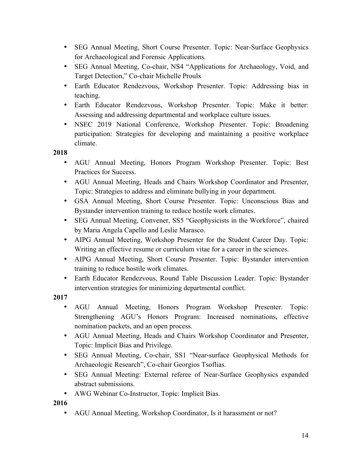- SEG Annual Meeting, Short Course Presenter. Topic: Near-Surface Geophysics for Archaeological and Forensic Applications.
- SEG Annual Meeting, Co-chair, NS4 "Applications for Archaeology, Void, and Target Detection," Co-chair Michelle Proulx
- Earth Educator Rendezvous, Workshop Presenter. Topic: Addressing bias in teaching.
- Earth Educator Rendezvous, Workshop Presenter. Topic: Make it better: Assessing and addressing departmental and workplace culture issues.
- NSEC 2019 National Conference, Workshop Presenter. Topic: Broadening participation: Strategies for developing and maintaining a positive workplace climate.

**2018**

- AGU Annual Meeting, Honors Program Workshop Presenter. Topic: Best Practices for Success.
- AGU Annual Meeting, Heads and Chairs Workshop Coordinator and Presenter, Topic: Strategies to address and eliminate bullying in your department.
- GSA Annual Meeting, Short Course Presenter. Topic: Unconscious Bias and Bystander intervention training to reduce hostile work climates.
- SEG Annual Meeting, Convener, SS5 "Geophysicists in the Workforce", chaired by Maria Angela Capello and Leslie Marasco.
- AIPG Annual Meeting, Workshop Presenter for the Student Career Day. Topic: Writing an effective resume or curriculum vitae for a career in the sciences.
- AIPG Annual Meeting, Short Course Presenter. Topic: Bystander intervention training to reduce hostile work climates.
- Earth Educator Rendezvous, Round Table Discussion Leader. Topic: Bystander intervention strategies for minimizing departmental conflict.

**2017**

- AGU Annual Meeting, Honors Program Workshop Presenter. Topic: Strengthening AGU's Honors Program: Increased nominations, effective nomination packets, and an open process.
- AGU Annual Meeting, Heads and Chairs Workshop Coordinator and Presenter, Topic: Implicit Bias and Privilege.
- SEG Annual Meeting, Co-chair, SS1 "Near-surface Geophysical Methods for Archaeologic Research", Co-chair Georgios Tsoflias.
- SEG Annual Meeting: External referee of Near-Surface Geophysics expanded abstract submissions.
- AWG Webinar Co-Instructor, Topic: Implicit Bias.

**2016**

• AGU Annual Meeting, Workshop Coordinator, Is it harassment or not?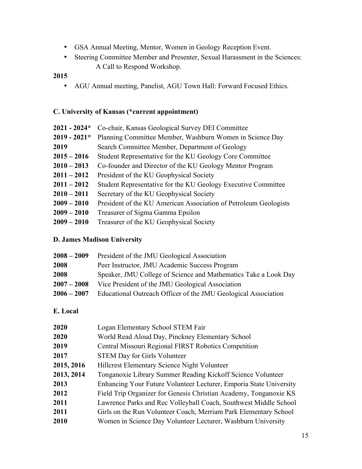- GSA Annual Meeting, Mentor, Women in Geology Reception Event.
- Steering Committee Member and Presenter, Sexual Harassment in the Sciences: A Call to Respond Workshop.

## **2015**

• AGU Annual meeting, Panelist, AGU Town Hall: Forward Focused Ethics.

## **C. University of Kansas (\*current appointment)**

| $2021 - 2024*$ | Co-chair, Kansas Geological Survey DEI Committee                 |
|----------------|------------------------------------------------------------------|
| $2019 - 2021*$ | Planning Committee Member, Washburn Women in Science Day         |
| 2019           | Search Committee Member, Department of Geology                   |
| $2015 - 2016$  | Student Representative for the KU Geology Core Committee         |
| $2010 - 2013$  | Co-founder and Director of the KU Geology Mentor Program         |
| $2011 - 2012$  | President of the KU Geophysical Society                          |
| $2011 - 2012$  | Student Representative for the KU Geology Executive Committee    |
| $2010 - 2011$  | Secretary of the KU Geophysical Society                          |
| $2009 - 2010$  | President of the KU American Association of Petroleum Geologists |
| $2009 - 2010$  | Treasurer of Sigma Gamma Epsilon                                 |
| $2009 - 2010$  | Treasurer of the KU Geophysical Society                          |

## **D. James Madison University**

| $2008 - 2009$ | President of the JMU Geological Association                     |
|---------------|-----------------------------------------------------------------|
| 2008          | Peer Instructor, JMU Academic Success Program                   |
| 2008          | Speaker, JMU College of Science and Mathematics Take a Look Day |
| $2007 - 2008$ | Vice President of the JMU Geological Association                |
| $2006 - 2007$ | Educational Outreach Officer of the JMU Geological Association  |

## **E. Local**

| 2020       | Logan Elementary School STEM Fair                                  |
|------------|--------------------------------------------------------------------|
| 2020       | World Read Aloud Day, Pinckney Elementary School                   |
| 2019       | Central Missouri Regional FIRST Robotics Competition               |
| 2017       | <b>STEM Day for Girls Volunteer</b>                                |
| 2015, 2016 | <b>Hillcrest Elementary Science Night Volunteer</b>                |
| 2013, 2014 | Tonganoxie Library Summer Reading Kickoff Science Volunteer        |
| 2013       | Enhancing Your Future Volunteer Lecturer, Emporia State University |
| 2012       | Field Trip Organizer for Genesis Christian Academy, Tonganoxie KS  |
| 2011       | Lawrence Parks and Rec Volleyball Coach, Southwest Middle School   |
| 2011       | Girls on the Run Volunteer Coach, Merriam Park Elementary School   |
| 2010       | Women in Science Day Volunteer Lecturer, Washburn University       |